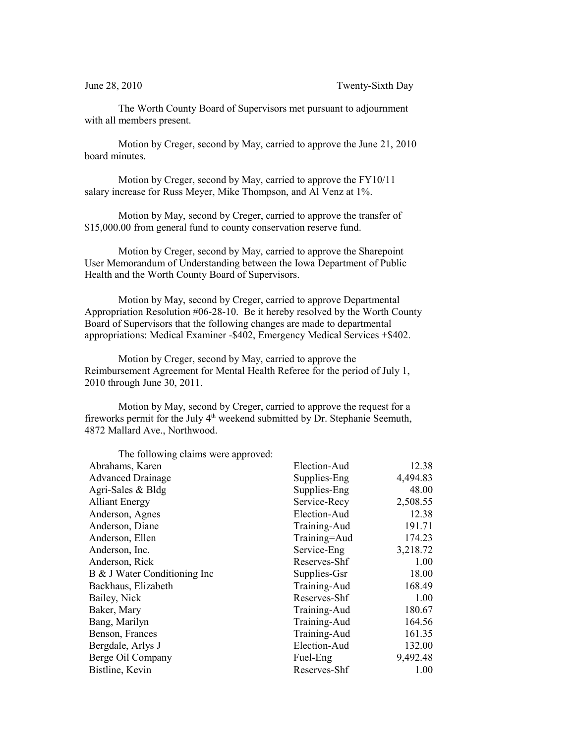The Worth County Board of Supervisors met pursuant to adjournment with all members present.

Motion by Creger, second by May, carried to approve the June 21, 2010 board minutes.

Motion by Creger, second by May, carried to approve the FY10/11 salary increase for Russ Meyer, Mike Thompson, and Al Venz at 1%.

Motion by May, second by Creger, carried to approve the transfer of \$15,000.00 from general fund to county conservation reserve fund.

Motion by Creger, second by May, carried to approve the Sharepoint User Memorandum of Understanding between the Iowa Department of Public Health and the Worth County Board of Supervisors.

Motion by May, second by Creger, carried to approve Departmental Appropriation Resolution #06-28-10. Be it hereby resolved by the Worth County Board of Supervisors that the following changes are made to departmental appropriations: Medical Examiner -\$402, Emergency Medical Services +\$402.

Motion by Creger, second by May, carried to approve the Reimbursement Agreement for Mental Health Referee for the period of July 1, 2010 through June 30, 2011.

Motion by May, second by Creger, carried to approve the request for a fireworks permit for the July 4<sup>th</sup> weekend submitted by Dr. Stephanie Seemuth, 4872 Mallard Ave., Northwood.

| The following claims were approved: |              |          |
|-------------------------------------|--------------|----------|
| Abrahams, Karen                     | Election-Aud | 12.38    |
| <b>Advanced Drainage</b>            | Supplies-Eng | 4,494.83 |
| Agri-Sales $& Bldg$                 | Supplies-Eng | 48.00    |
| <b>Alliant Energy</b>               | Service-Recy | 2,508.55 |
| Anderson, Agnes                     | Election-Aud | 12.38    |
| Anderson, Diane                     | Training-Aud | 191.71   |
| Anderson, Ellen                     | Training=Aud | 174.23   |
| Anderson, Inc.                      | Service-Eng  | 3,218.72 |
| Anderson, Rick                      | Reserves-Shf | 1.00     |
| B & J Water Conditioning Inc        | Supplies-Gsr | 18.00    |
| Backhaus, Elizabeth                 | Training-Aud | 168.49   |
| Bailey, Nick                        | Reserves-Shf | 1.00     |
| Baker, Mary                         | Training-Aud | 180.67   |
| Bang, Marilyn                       | Training-Aud | 164.56   |
| Benson, Frances                     | Training-Aud | 161.35   |
| Bergdale, Arlys J                   | Election-Aud | 132.00   |
| Berge Oil Company                   | Fuel-Eng     | 9,492.48 |
| Bistline, Kevin                     | Reserves-Shf | 1.00     |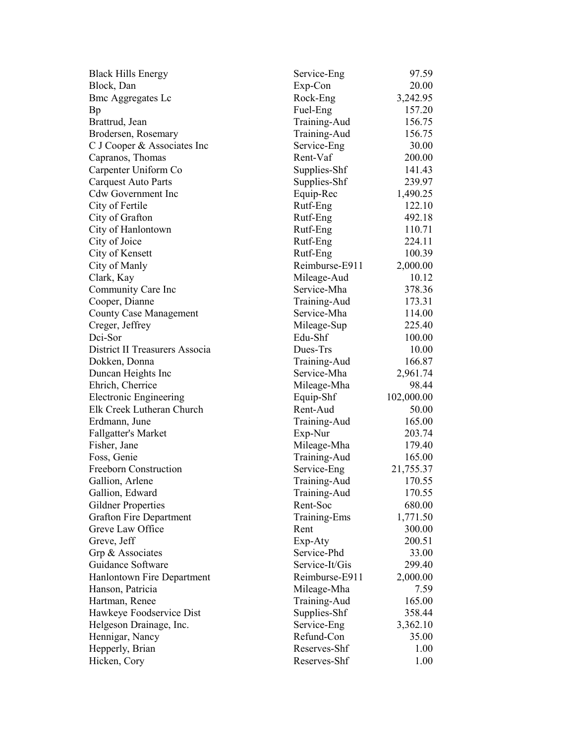| <b>Black Hills Energy</b>      | Service-Eng    | 97.59      |
|--------------------------------|----------------|------------|
| Block, Dan                     | Exp-Con        | 20.00      |
| <b>Bmc Aggregates Lc</b>       | Rock-Eng       | 3,242.95   |
| Bp                             | Fuel-Eng       | 157.20     |
| Brattrud, Jean                 | Training-Aud   | 156.75     |
| Brodersen, Rosemary            | Training-Aud   | 156.75     |
| C J Cooper & Associates Inc    | Service-Eng    | 30.00      |
| Capranos, Thomas               | Rent-Vaf       | 200.00     |
| Carpenter Uniform Co           | Supplies-Shf   | 141.43     |
| <b>Carquest Auto Parts</b>     | Supplies-Shf   | 239.97     |
| <b>Cdw Government Inc</b>      | Equip-Rec      | 1,490.25   |
| City of Fertile                | Rutf-Eng       | 122.10     |
| City of Grafton                | Rutf-Eng       | 492.18     |
| City of Hanlontown             | Rutf-Eng       | 110.71     |
| City of Joice                  | Rutf-Eng       | 224.11     |
| City of Kensett                | Rutf-Eng       | 100.39     |
| City of Manly                  | Reimburse-E911 | 2,000.00   |
| Clark, Kay                     | Mileage-Aud    | 10.12      |
| Community Care Inc             | Service-Mha    | 378.36     |
| Cooper, Dianne                 | Training-Aud   | 173.31     |
| <b>County Case Management</b>  | Service-Mha    | 114.00     |
| Creger, Jeffrey                | Mileage-Sup    | 225.40     |
| Dci-Sor                        | Edu-Shf        | 100.00     |
| District II Treasurers Associa | Dues-Trs       | 10.00      |
| Dokken, Donna                  | Training-Aud   | 166.87     |
| Duncan Heights Inc             | Service-Mha    | 2,961.74   |
| Ehrich, Cherrice               | Mileage-Mha    | 98.44      |
| <b>Electronic Engineering</b>  | Equip-Shf      | 102,000.00 |
| Elk Creek Lutheran Church      | Rent-Aud       | 50.00      |
| Erdmann, June                  | Training-Aud   | 165.00     |
| <b>Fallgatter's Market</b>     | Exp-Nur        | 203.74     |
| Fisher, Jane                   | Mileage-Mha    | 179.40     |
| Foss, Genie                    | Training-Aud   | 165.00     |
| <b>Freeborn Construction</b>   | Service-Eng    | 21,755.37  |
| Gallion, Arlene                | Training-Aud   | 170.55     |
| Gallion, Edward                | Training-Aud   | 170.55     |
| <b>Gildner Properties</b>      | Rent-Soc       | 680.00     |
| <b>Grafton Fire Department</b> | Training-Ems   | 1,771.50   |
| Greve Law Office               | Rent           | 300.00     |
| Greve, Jeff                    | Exp-Aty        | 200.51     |
| Grp & Associates               | Service-Phd    | 33.00      |
| Guidance Software              | Service-It/Gis | 299.40     |
| Hanlontown Fire Department     | Reimburse-E911 | 2,000.00   |
| Hanson, Patricia               | Mileage-Mha    | 7.59       |
| Hartman, Renee                 | Training-Aud   | 165.00     |
| Hawkeye Foodservice Dist       | Supplies-Shf   | 358.44     |
| Helgeson Drainage, Inc.        | Service-Eng    | 3,362.10   |
| Hennigar, Nancy                | Refund-Con     | 35.00      |
| Hepperly, Brian                | Reserves-Shf   | 1.00       |
| Hicken, Cory                   | Reserves-Shf   | 1.00       |
|                                |                |            |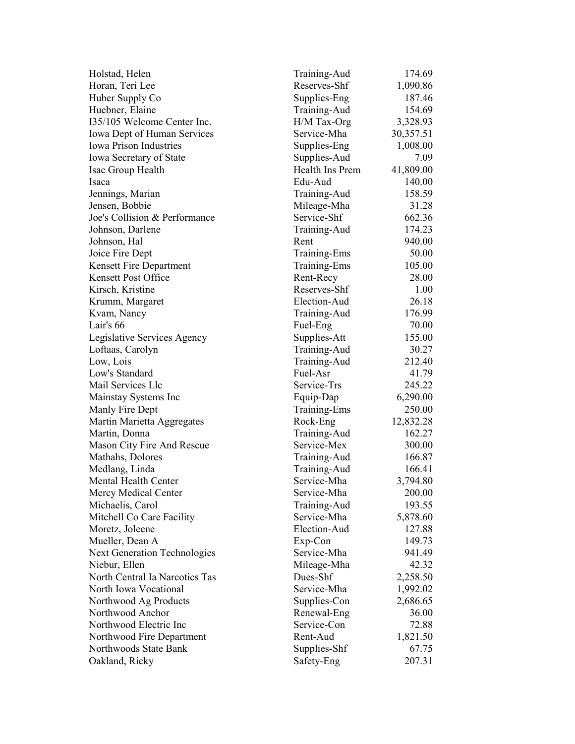| Holstad, Helen                      | Training-Aud    | 174.69          |
|-------------------------------------|-----------------|-----------------|
| Horan, Teri Lee                     | Reserves-Shf    | 1,090.86        |
| Huber Supply Co                     | Supplies-Eng    | 187.46          |
| Huebner, Elaine                     | Training-Aud    | 154.69          |
| 135/105 Welcome Center Inc.         | H/M Tax-Org     | 3,328.93        |
| <b>Iowa Dept of Human Services</b>  | Service-Mha     | 30,357.51       |
| <b>Iowa Prison Industries</b>       | Supplies-Eng    | 1,008.00        |
| Iowa Secretary of State             | Supplies-Aud    | 7.09            |
| Isac Group Health                   | Health Ins Prem | 41,809.00       |
| Isaca                               | Edu-Aud         | 140.00          |
| Jennings, Marian                    | Training-Aud    | 158.59          |
| Jensen, Bobbie                      | Mileage-Mha     | 31.28           |
| Joe's Collision & Performance       | Service-Shf     | 662.36          |
| Johnson, Darlene                    | Training-Aud    | 174.23          |
| Johnson, Hal                        | Rent            | 940.00          |
| Joice Fire Dept                     | Training-Ems    | 50.00           |
| Kensett Fire Department             | Training-Ems    | 105.00          |
| <b>Kensett Post Office</b>          | Rent-Recy       | 28.00           |
| Kirsch, Kristine                    | Reserves-Shf    | 1.00            |
| Krumm, Margaret                     | Election-Aud    | 26.18           |
| Kvam, Nancy                         | Training-Aud    | 176.99          |
| Lair's 66                           | Fuel-Eng        | 70.00           |
| Legislative Services Agency         | Supplies-Att    | 155.00          |
| Loftaas, Carolyn                    | Training-Aud    | 30.27           |
| Low, Lois                           | Training-Aud    | 212.40          |
| Low's Standard                      | Fuel-Asr        | 41.79           |
| Mail Services Llc                   | Service-Trs     | 245.22          |
| Mainstay Systems Inc                | Equip-Dap       | 6,290.00        |
| Manly Fire Dept                     | Training-Ems    | 250.00          |
| Martin Marietta Aggregates          | Rock-Eng        | 12,832.28       |
| Martin, Donna                       | Training-Aud    | 162.27          |
| Mason City Fire And Rescue          | Service-Mex     | 300.00          |
| Mathahs, Dolores                    | Training-Aud    | 166.87          |
| Medlang, Linda                      | Training-Aud    | 166.41          |
| <b>Mental Health Center</b>         | Service-Mha     | 3,794.80        |
| Mercy Medical Center                | Service-Mha     | 200.00          |
| Michaelis, Carol                    | Training-Aud    | 193.55          |
| Mitchell Co Care Facility           | Service-Mha     | 5,878.60        |
| Moretz, Joleene                     | Election-Aud    | 127.88          |
| Mueller, Dean A                     | Exp-Con         | 149.73          |
| <b>Next Generation Technologies</b> | Service-Mha     | 941.49          |
| Niebur, Ellen                       | Mileage-Mha     | 42.32           |
| North Central Ia Narcotics Tas      | Dues-Shf        | 2,258.50        |
| North Iowa Vocational               | Service-Mha     | 1,992.02        |
| Northwood Ag Products               | Supplies-Con    | 2,686.65        |
| Northwood Anchor                    | Renewal-Eng     | 36.00           |
| Northwood Electric Inc              | Service-Con     | 72.88           |
| Northwood Fire Department           | Rent-Aud        |                 |
| Northwoods State Bank               |                 | 1,821.50        |
|                                     | Supplies-Shf    | 67.75<br>207.31 |
| Oakland, Ricky                      | Safety-Eng      |                 |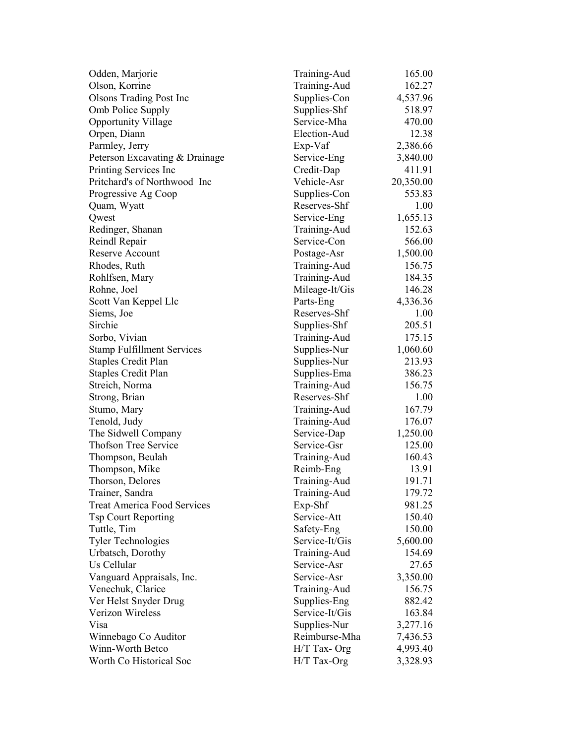| Odden, Marjorie                    | Training-Aud   | 165.00    |
|------------------------------------|----------------|-----------|
| Olson, Korrine                     | Training-Aud   | 162.27    |
| <b>Olsons Trading Post Inc</b>     | Supplies-Con   | 4,537.96  |
| Omb Police Supply                  | Supplies-Shf   | 518.97    |
| <b>Opportunity Village</b>         | Service-Mha    | 470.00    |
| Orpen, Diann                       | Election-Aud   | 12.38     |
| Parmley, Jerry                     | Exp-Vaf        | 2,386.66  |
| Peterson Excavating & Drainage     | Service-Eng    | 3,840.00  |
| Printing Services Inc              | Credit-Dap     | 411.91    |
| Pritchard's of Northwood Inc       | Vehicle-Asr    | 20,350.00 |
| Progressive Ag Coop                | Supplies-Con   | 553.83    |
| Quam, Wyatt                        | Reserves-Shf   | 1.00      |
| Qwest                              | Service-Eng    | 1,655.13  |
| Redinger, Shanan                   | Training-Aud   | 152.63    |
| Reindl Repair                      | Service-Con    | 566.00    |
| Reserve Account                    | Postage-Asr    | 1,500.00  |
| Rhodes, Ruth                       | Training-Aud   | 156.75    |
| Rohlfsen, Mary                     | Training-Aud   | 184.35    |
| Rohne, Joel                        | Mileage-It/Gis | 146.28    |
| Scott Van Keppel Llc               | Parts-Eng      | 4,336.36  |
| Siems, Joe                         | Reserves-Shf   | 1.00      |
| Sirchie                            | Supplies-Shf   | 205.51    |
| Sorbo, Vivian                      | Training-Aud   | 175.15    |
| <b>Stamp Fulfillment Services</b>  | Supplies-Nur   | 1,060.60  |
| <b>Staples Credit Plan</b>         | Supplies-Nur   | 213.93    |
| <b>Staples Credit Plan</b>         | Supplies-Ema   | 386.23    |
| Streich, Norma                     | Training-Aud   | 156.75    |
| Strong, Brian                      | Reserves-Shf   | 1.00      |
| Stumo, Mary                        | Training-Aud   | 167.79    |
| Tenold, Judy                       | Training-Aud   | 176.07    |
| The Sidwell Company                | Service-Dap    | 1,250.00  |
| <b>Thofson Tree Service</b>        | Service-Gsr    | 125.00    |
| Thompson, Beulah                   | Training-Aud   | 160.43    |
| Thompson, Mike                     | Reimb-Eng      | 13.91     |
| Thorson, Delores                   | Training-Aud   | 191.71    |
| Trainer, Sandra                    | Training-Aud   | 179.72    |
| <b>Treat America Food Services</b> | Exp-Shf        | 981.25    |
| <b>Tsp Court Reporting</b>         | Service-Att    | 150.40    |
| Tuttle, Tim                        | Safety-Eng     | 150.00    |
| <b>Tyler Technologies</b>          | Service-It/Gis | 5,600.00  |
| Urbatsch, Dorothy                  | Training-Aud   | 154.69    |
| Us Cellular                        | Service-Asr    | 27.65     |
| Vanguard Appraisals, Inc.          | Service-Asr    | 3,350.00  |
| Venechuk, Clarice                  | Training-Aud   | 156.75    |
| Ver Helst Snyder Drug              | Supplies-Eng   | 882.42    |
| Verizon Wireless                   | Service-It/Gis | 163.84    |
| Visa                               | Supplies-Nur   | 3,277.16  |
| Winnebago Co Auditor               | Reimburse-Mha  | 7,436.53  |
| Winn-Worth Betco                   | H/T Tax-Org    | 4,993.40  |
| Worth Co Historical Soc            | H/T Tax-Org    | 3,328.93  |
|                                    |                |           |